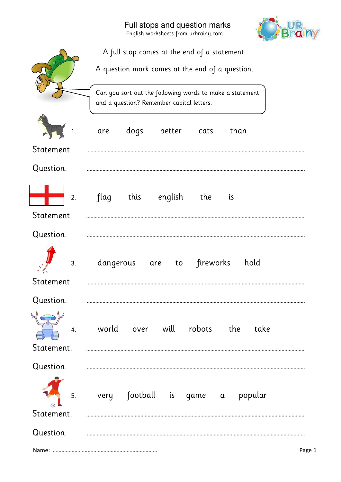|                            | Full stops and question marks<br>English worksheets from urbrainy.com                                 |        |  |  |  |  |  |
|----------------------------|-------------------------------------------------------------------------------------------------------|--------|--|--|--|--|--|
|                            | A full stop comes at the end of a statement.                                                          |        |  |  |  |  |  |
|                            | A question mark comes at the end of a question.                                                       |        |  |  |  |  |  |
|                            | Can you sort out the following words to make a statement<br>and a question? Remember capital letters. |        |  |  |  |  |  |
|                            | better<br>dogs<br>than<br>cats<br>are                                                                 |        |  |  |  |  |  |
| Statement.                 |                                                                                                       |        |  |  |  |  |  |
| Question.                  |                                                                                                       |        |  |  |  |  |  |
| 2.                         | english<br>flag<br>this<br>the<br>is                                                                  |        |  |  |  |  |  |
| Statement.                 |                                                                                                       |        |  |  |  |  |  |
| Question.                  |                                                                                                       |        |  |  |  |  |  |
| 3.                         | hold<br>dangerous<br>fireworks<br>to<br>are                                                           |        |  |  |  |  |  |
| $\mathbf{1}$<br>Statement. |                                                                                                       |        |  |  |  |  |  |
| Question.                  |                                                                                                       |        |  |  |  |  |  |
| 4.<br>Statement.           | world over will robots the<br>take                                                                    |        |  |  |  |  |  |
| Question.                  |                                                                                                       |        |  |  |  |  |  |
| 5.<br>Statement.           | very football is game a popular                                                                       |        |  |  |  |  |  |
| Question.                  |                                                                                                       |        |  |  |  |  |  |
|                            |                                                                                                       | Page 1 |  |  |  |  |  |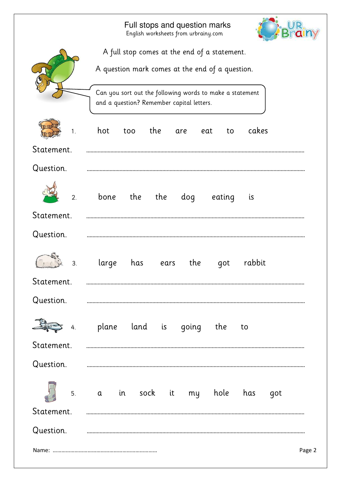|                  |                                                                                                       | English worksheets from urbrainy.com |      |     | Full stops and question marks |           |        |  |
|------------------|-------------------------------------------------------------------------------------------------------|--------------------------------------|------|-----|-------------------------------|-----------|--------|--|
|                  | A full stop comes at the end of a statement.                                                          |                                      |      |     |                               |           |        |  |
|                  | A question mark comes at the end of a question.                                                       |                                      |      |     |                               |           |        |  |
|                  | Can you sort out the following words to make a statement<br>and a question? Remember capital letters. |                                      |      |     |                               |           |        |  |
| 1 <sub>1</sub>   | hot                                                                                                   | the<br>too                           |      | are | eat<br>to                     | cakes     |        |  |
| Statement.       |                                                                                                       |                                      |      |     |                               |           |        |  |
| Question.        |                                                                                                       |                                      |      |     |                               |           |        |  |
| $\overline{2}$ . | bone                                                                                                  | the                                  | the  | dog | eating                        | <i>is</i> |        |  |
| Statement.       |                                                                                                       |                                      |      |     |                               |           |        |  |
| Question.        |                                                                                                       |                                      |      |     |                               |           |        |  |
| 3.               | large                                                                                                 | has                                  | ears | the | got                           | rabbit    |        |  |
| Statement.       |                                                                                                       |                                      |      |     |                               |           |        |  |
| Question.        |                                                                                                       |                                      |      |     |                               |           |        |  |
| 4.               |                                                                                                       |                                      |      |     | plane land is going the to    |           |        |  |
| Statement.       |                                                                                                       |                                      |      |     |                               |           |        |  |
| Question.        |                                                                                                       |                                      |      |     |                               |           |        |  |
|                  |                                                                                                       |                                      |      |     | 5. a in sock it my hole has   |           | got    |  |
| Statement.       |                                                                                                       |                                      |      |     |                               |           |        |  |
| Question.        |                                                                                                       |                                      |      |     |                               |           |        |  |
|                  |                                                                                                       |                                      |      |     |                               |           | Page 2 |  |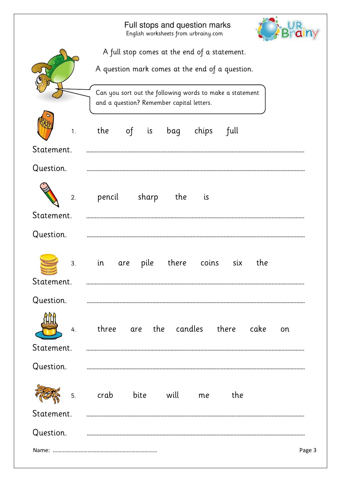|                                                                           | Full stops and question marks<br>English worksheets from urbrainy.com                                 |  |  |  |  |  |  |
|---------------------------------------------------------------------------|-------------------------------------------------------------------------------------------------------|--|--|--|--|--|--|
|                                                                           | A full stop comes at the end of a statement.                                                          |  |  |  |  |  |  |
|                                                                           | A question mark comes at the end of a question.                                                       |  |  |  |  |  |  |
|                                                                           | Can you sort out the following words to make a statement<br>and a question? Remember capital letters. |  |  |  |  |  |  |
| 1.                                                                        | the<br>full<br>$\circ$ f<br>is<br>bag<br>chips                                                        |  |  |  |  |  |  |
| Statement.                                                                |                                                                                                       |  |  |  |  |  |  |
| Question.                                                                 |                                                                                                       |  |  |  |  |  |  |
| 2.                                                                        | sharp<br>pencil<br>the<br>is                                                                          |  |  |  |  |  |  |
| Statement.                                                                |                                                                                                       |  |  |  |  |  |  |
| Question.                                                                 |                                                                                                       |  |  |  |  |  |  |
| 3.<br><b>BETTI ILITTI FALLANDI</b><br>BETTI ILITTI FALLANDI<br>Statement. | pile<br>there<br>six<br>the<br>in<br>coins<br>are                                                     |  |  |  |  |  |  |
| Question.                                                                 |                                                                                                       |  |  |  |  |  |  |
| 4.                                                                        | are the candles there cake<br>three<br>on                                                             |  |  |  |  |  |  |
| Statement.                                                                |                                                                                                       |  |  |  |  |  |  |
| Question.                                                                 |                                                                                                       |  |  |  |  |  |  |
| 5.                                                                        | crab<br>bite<br>will<br>the<br>me                                                                     |  |  |  |  |  |  |
| Statement.                                                                |                                                                                                       |  |  |  |  |  |  |
| Question.                                                                 |                                                                                                       |  |  |  |  |  |  |
|                                                                           | Page 3                                                                                                |  |  |  |  |  |  |